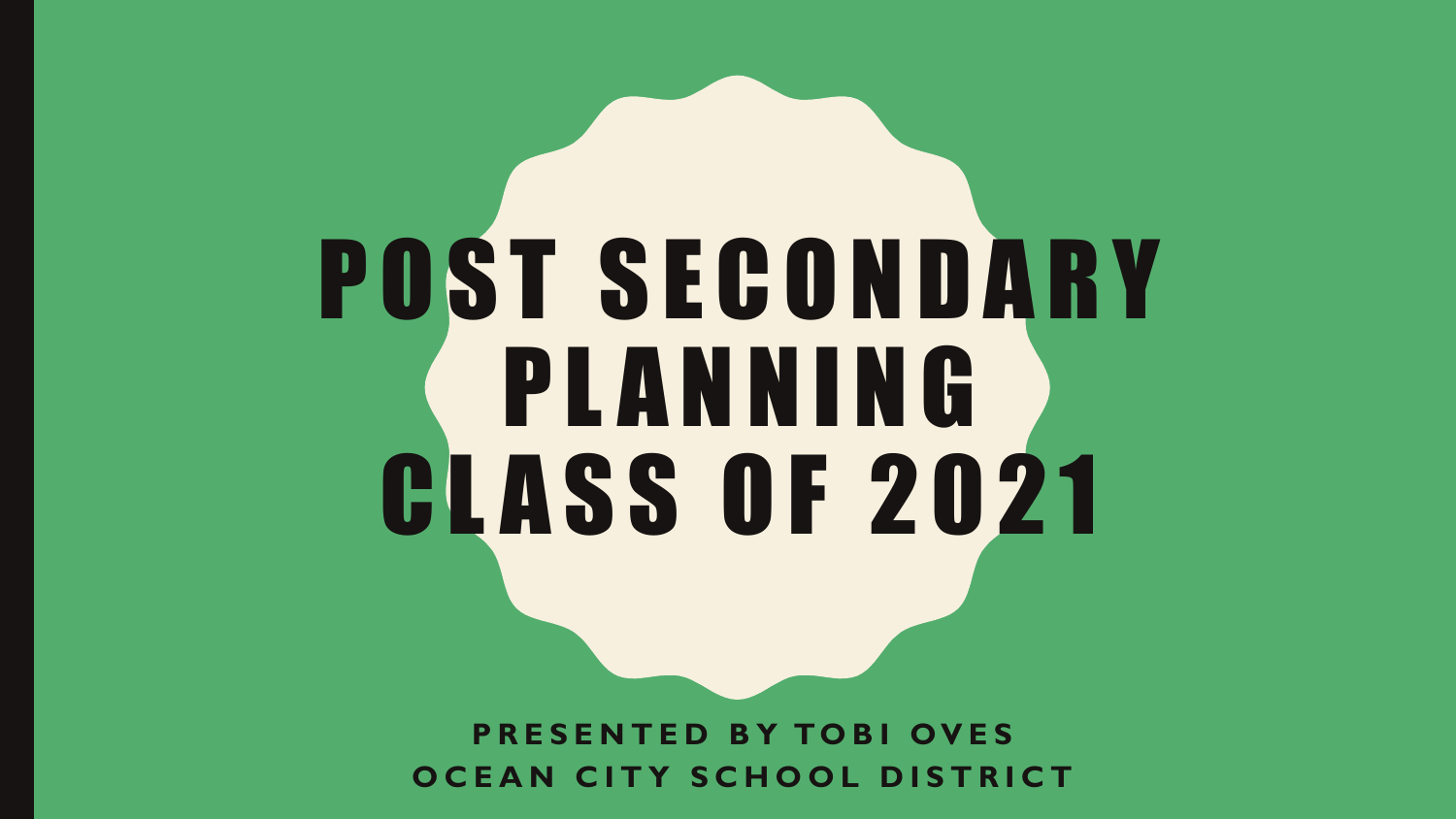# POST SECONDARY PLANNING CLASS OF 2021

**P R E S E N T E D B Y TO B I OVES OCEAN CITY SCHOOL DISTRICT**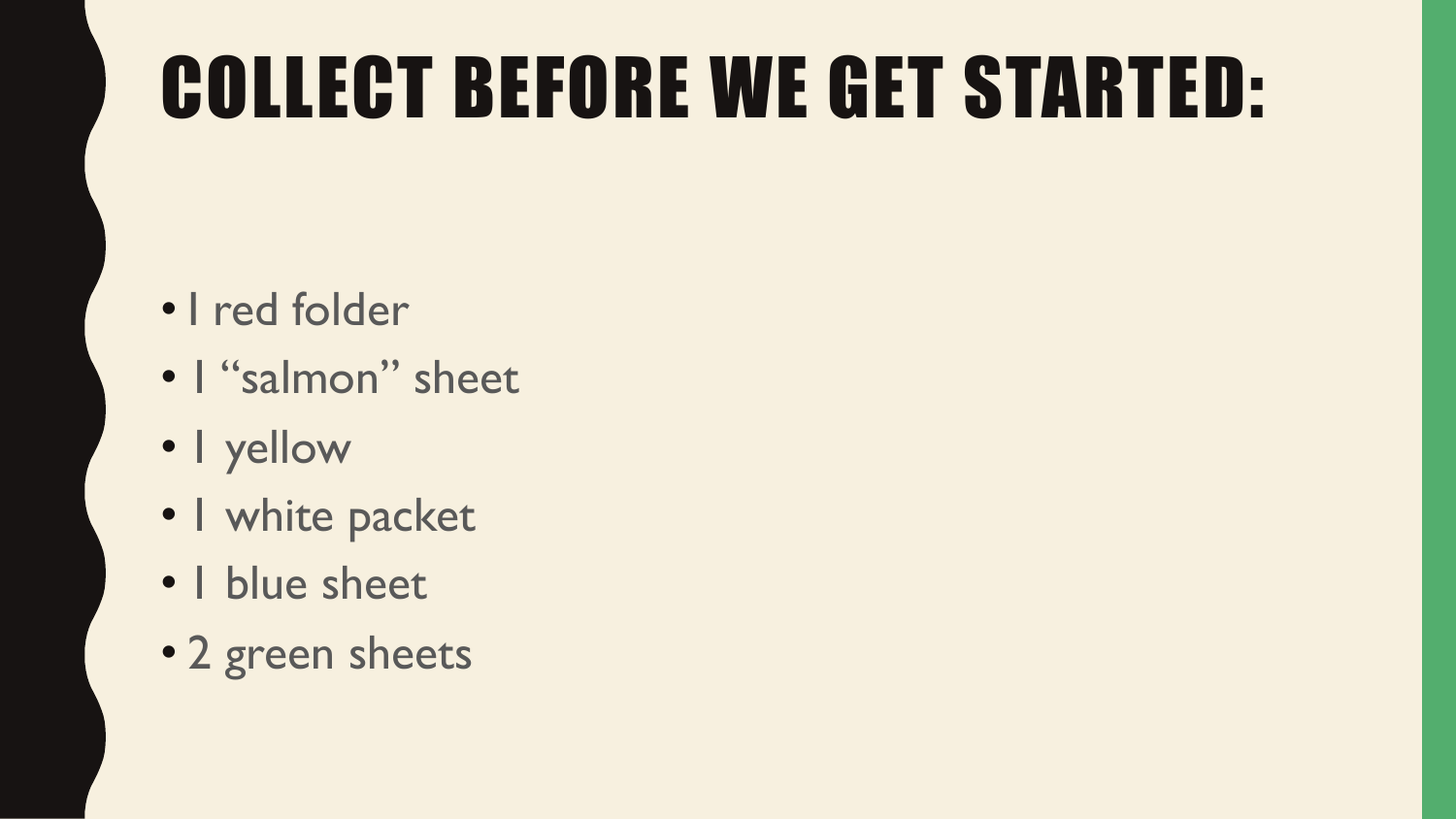# COLLECT BEFORE WE GET STARTED:

- I red folder
- I "salmon" sheet
- 1 yellow
- I white packet
- 1 blue sheet
- 2 green sheets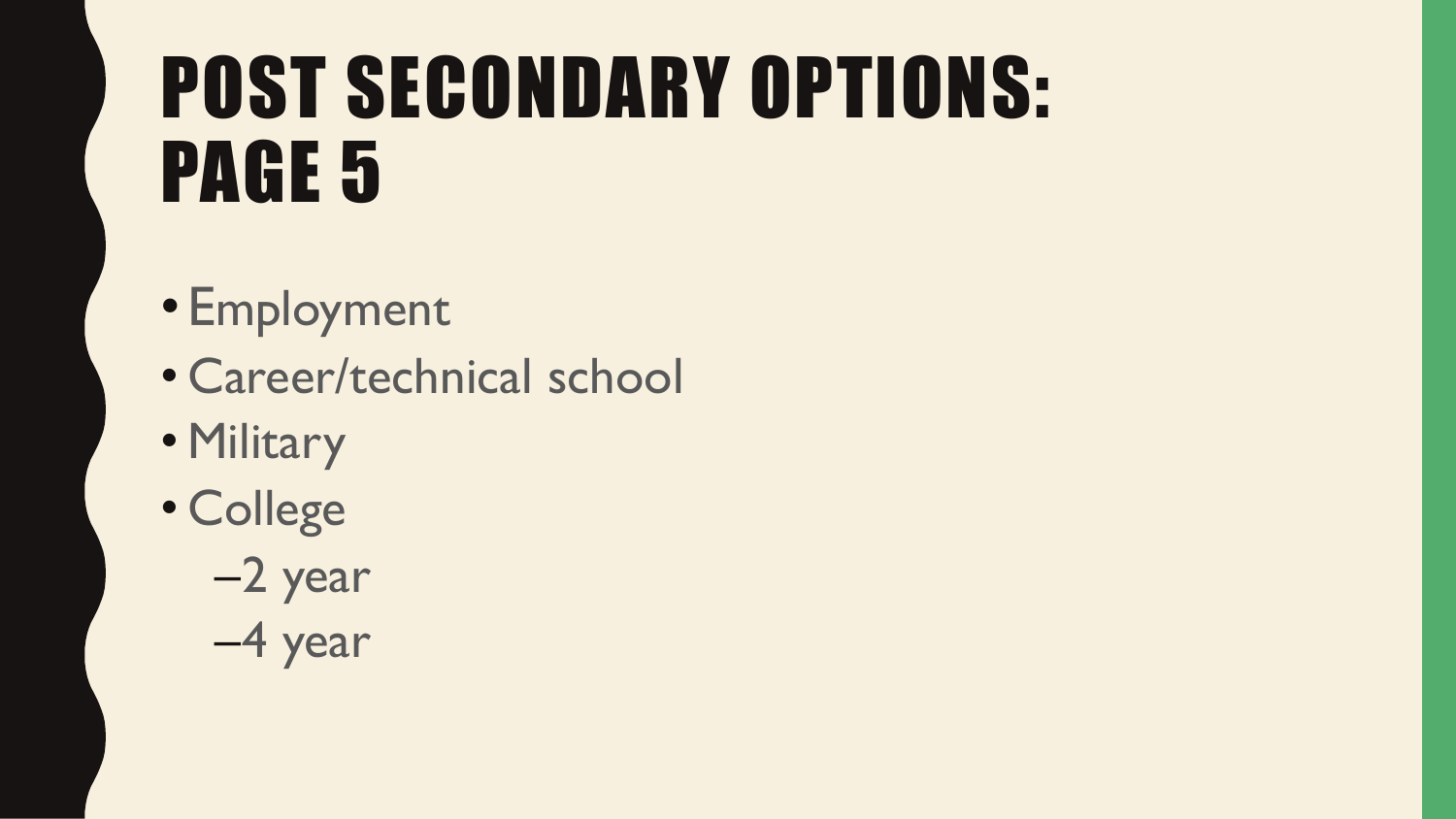# POST SECONDARY OPTIONS: PAGE 5

- Employment
- Career/technical school
- Military
- College

–2 year –4 year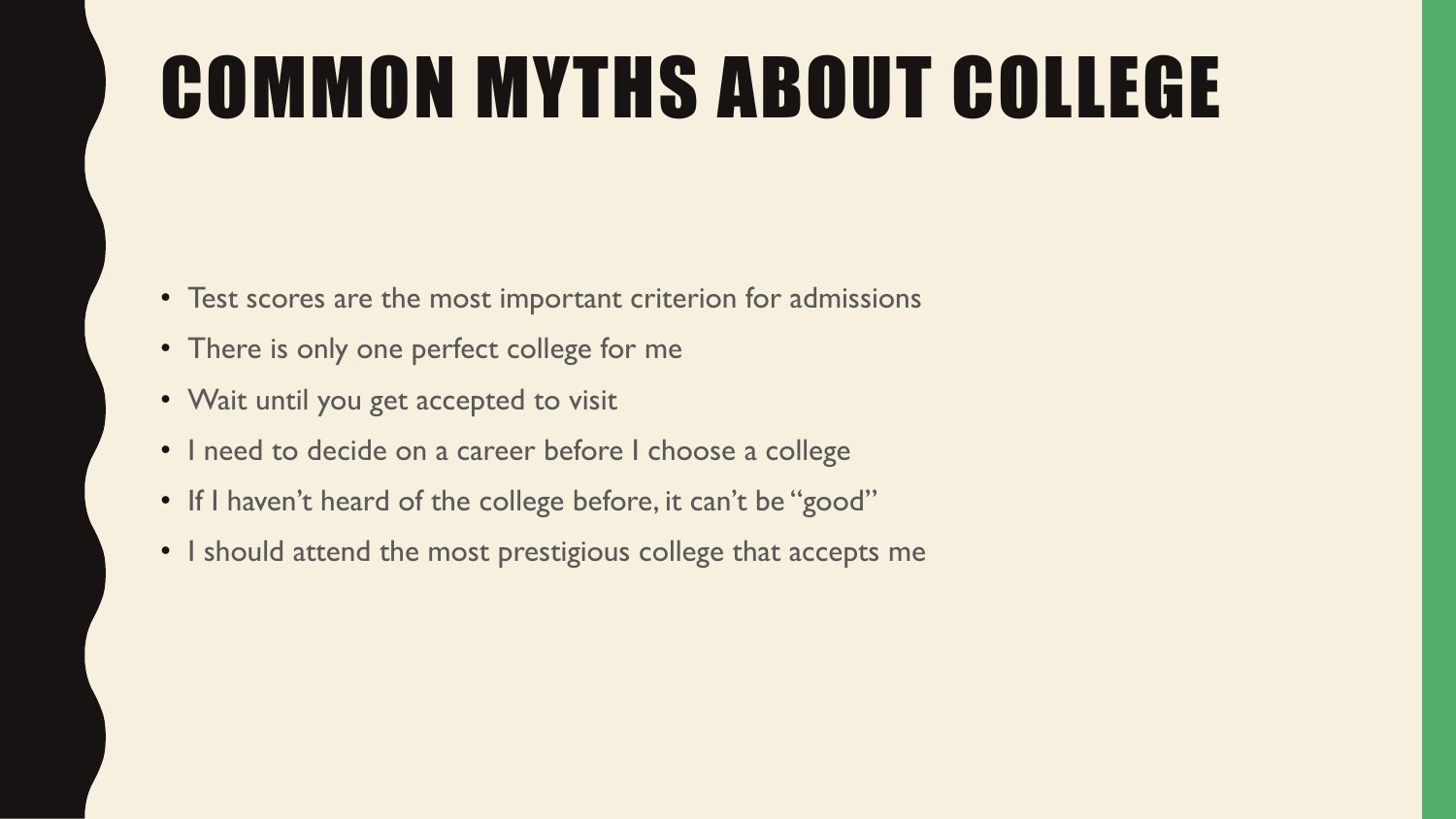# COMMON MYTHS ABOUT COLLEGE

- Test scores are the most important criterion for admissions
- There is only one perfect college for me
- Wait until you get accepted to visit
- I need to decide on a career before I choose a college
- If I haven't heard of the college before, it can't be "good"
- I should attend the most prestigious college that accepts me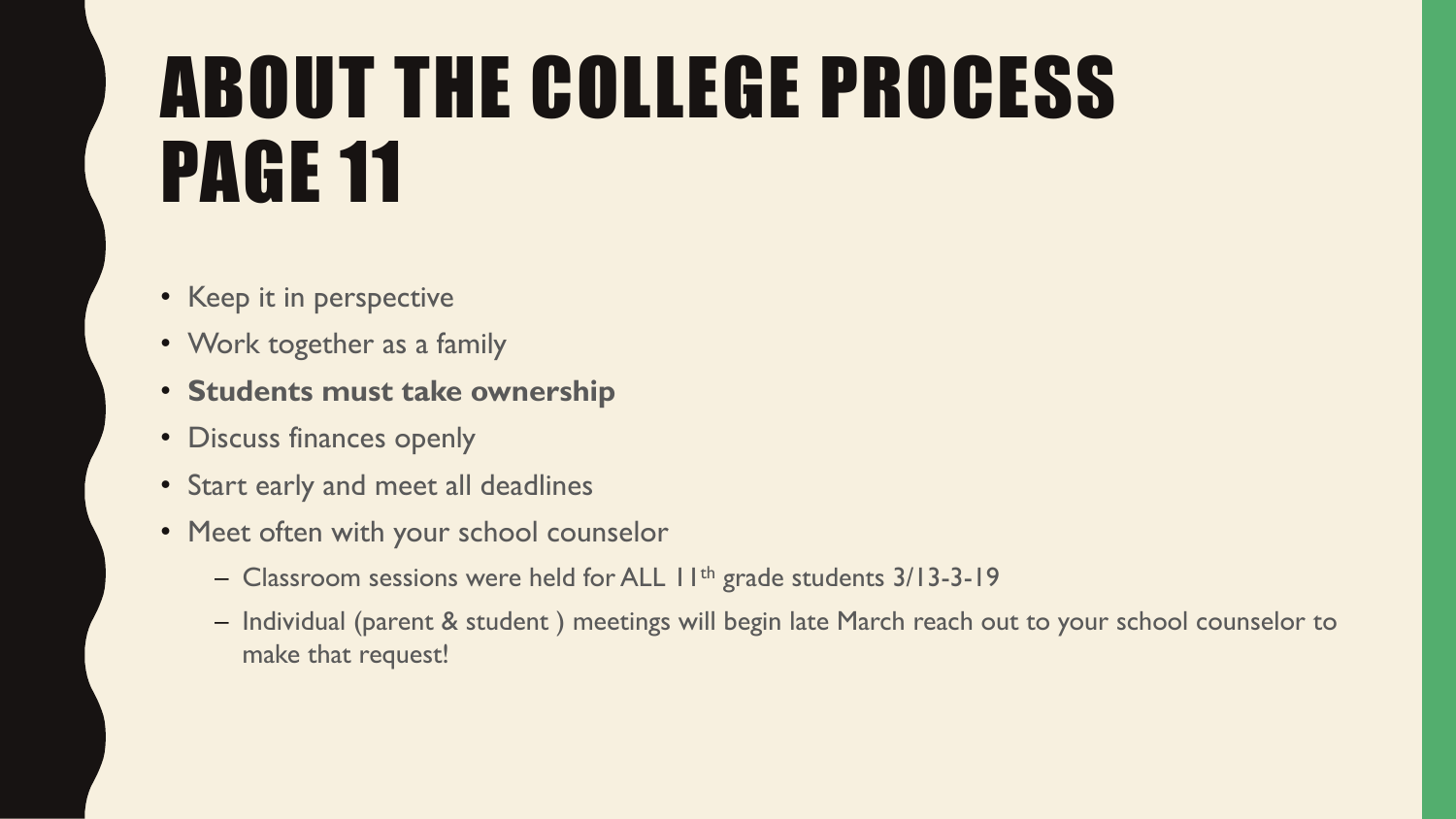# ABOUT THE COLLEGE PROCESS PAGE 11

- Keep it in perspective
- Work together as a family
- **Students must take ownership**
- Discuss finances openly
- Start early and meet all deadlines
- Meet often with your school counselor
	- Classroom sessions were held for ALL II<sup>th</sup> grade students 3/13-3-19
	- Individual (parent & student ) meetings will begin late March reach out to your school counselor to make that request!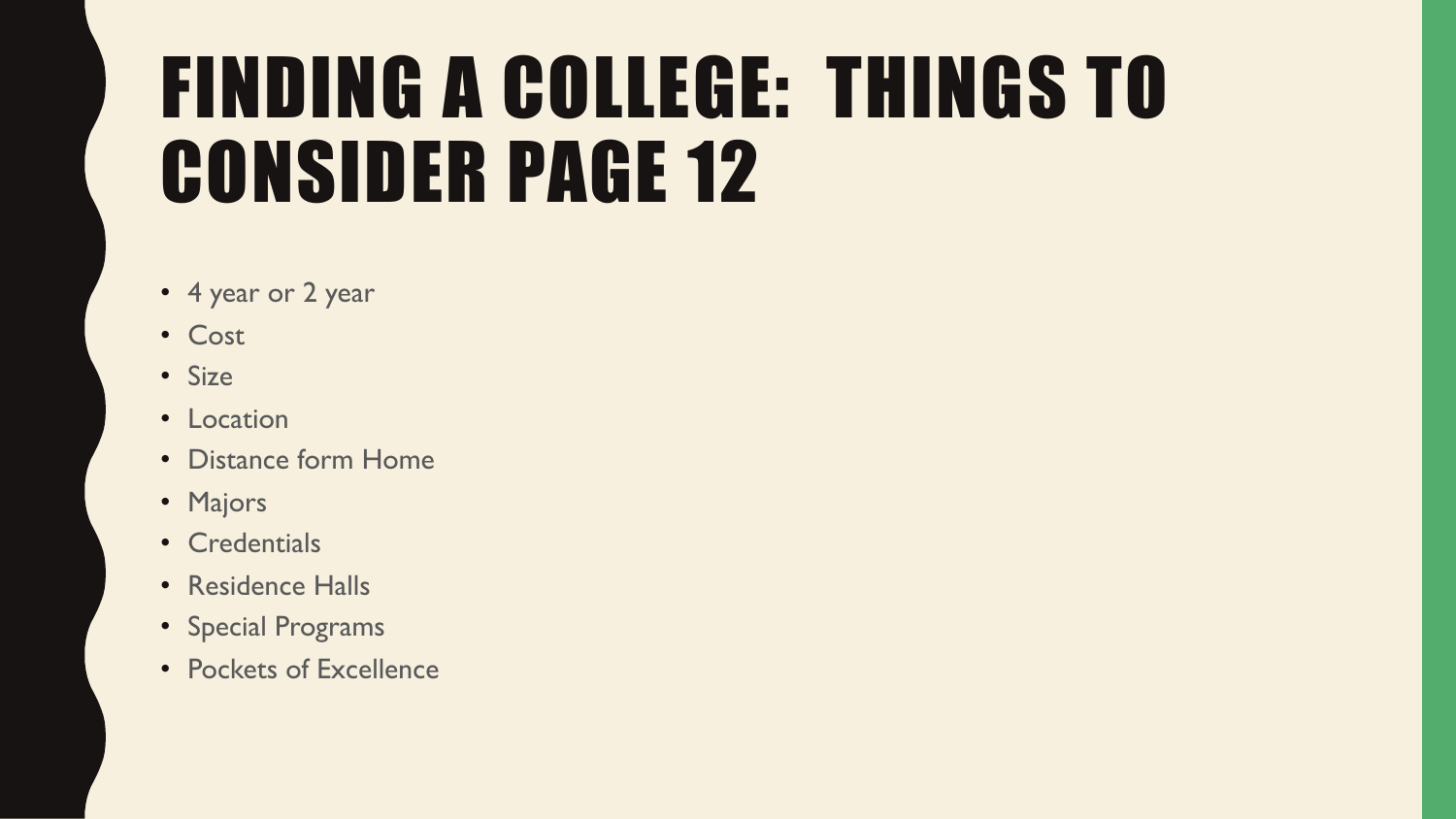# FINDING A COLLEGE: THINGS TO CONSIDER PAGE 12

- 4 year or 2 year
- Cost
- Size
- Location
- Distance form Home
- Majors
- Credentials
- Residence Halls
- Special Programs
- Pockets of Excellence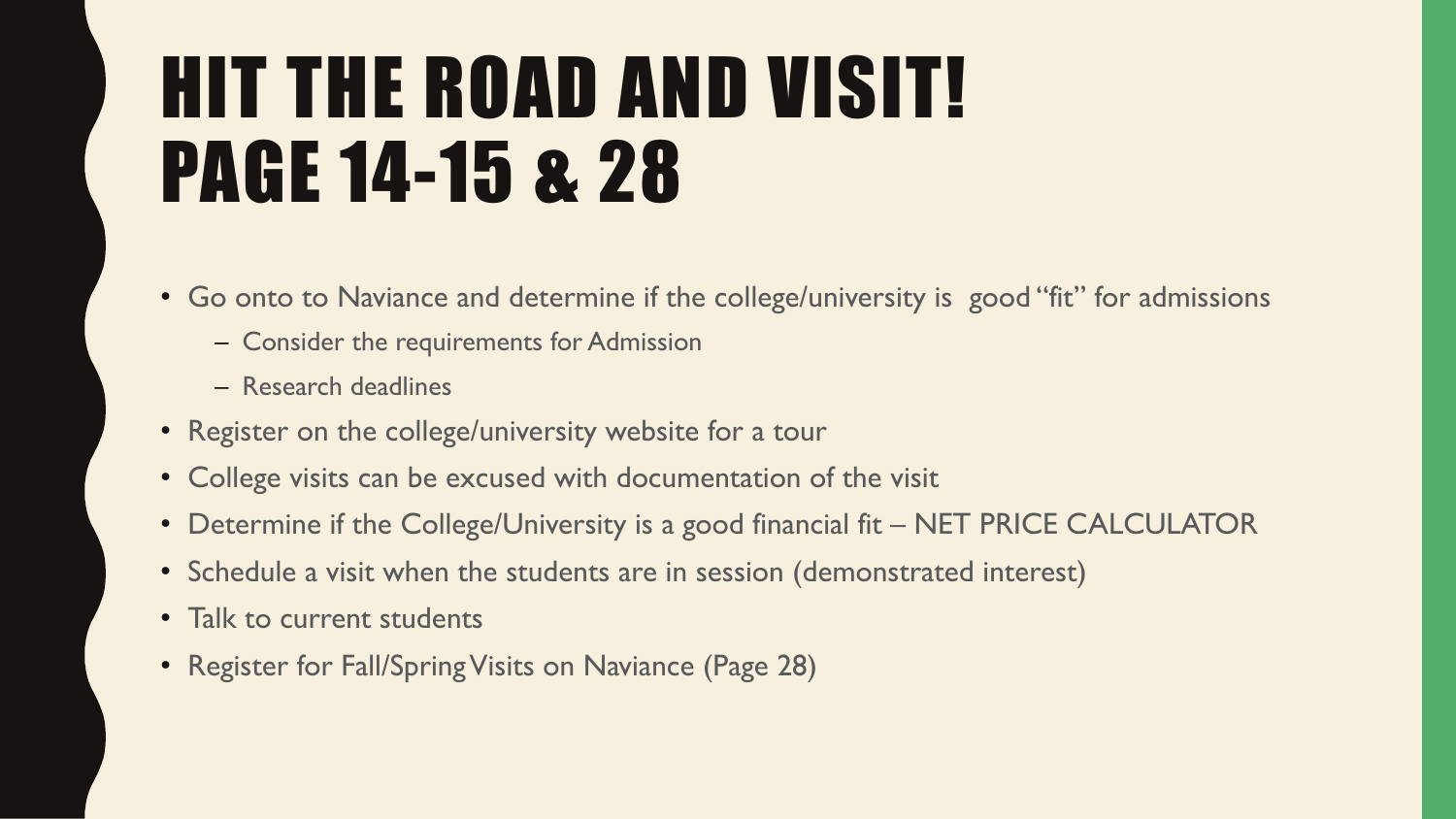# HIT THE ROAD AND VISIT! PAGE 14-15 & 28

- Go onto to Naviance and determine if the college/university is good "fit" for admissions
	- Consider the requirements for Admission
	- Research deadlines
- Register on the college/university website for a tour
- College visits can be excused with documentation of the visit
- Determine if the College/University is a good financial fit NET PRICE CALCULATOR
- Schedule a visit when the students are in session (demonstrated interest)
- Talk to current students
- Register for Fall/Spring Visits on Naviance (Page 28)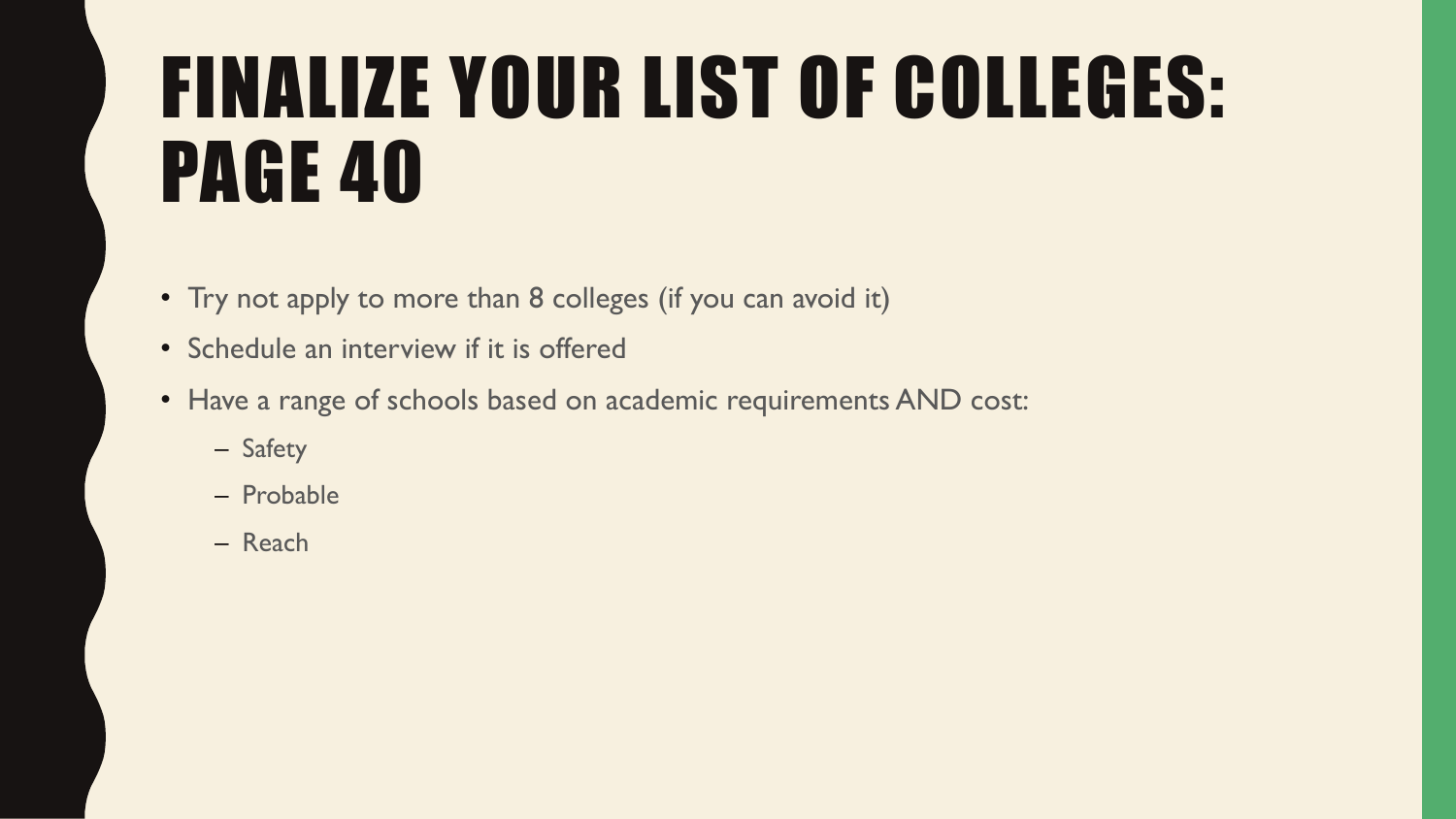# FINALIZE YOUR LIST OF COLLEGES: PAGE 40

- Try not apply to more than 8 colleges (if you can avoid it)
- Schedule an interview if it is offered
- Have a range of schools based on academic requirements AND cost:
	- Safety
	- Probable
	- Reach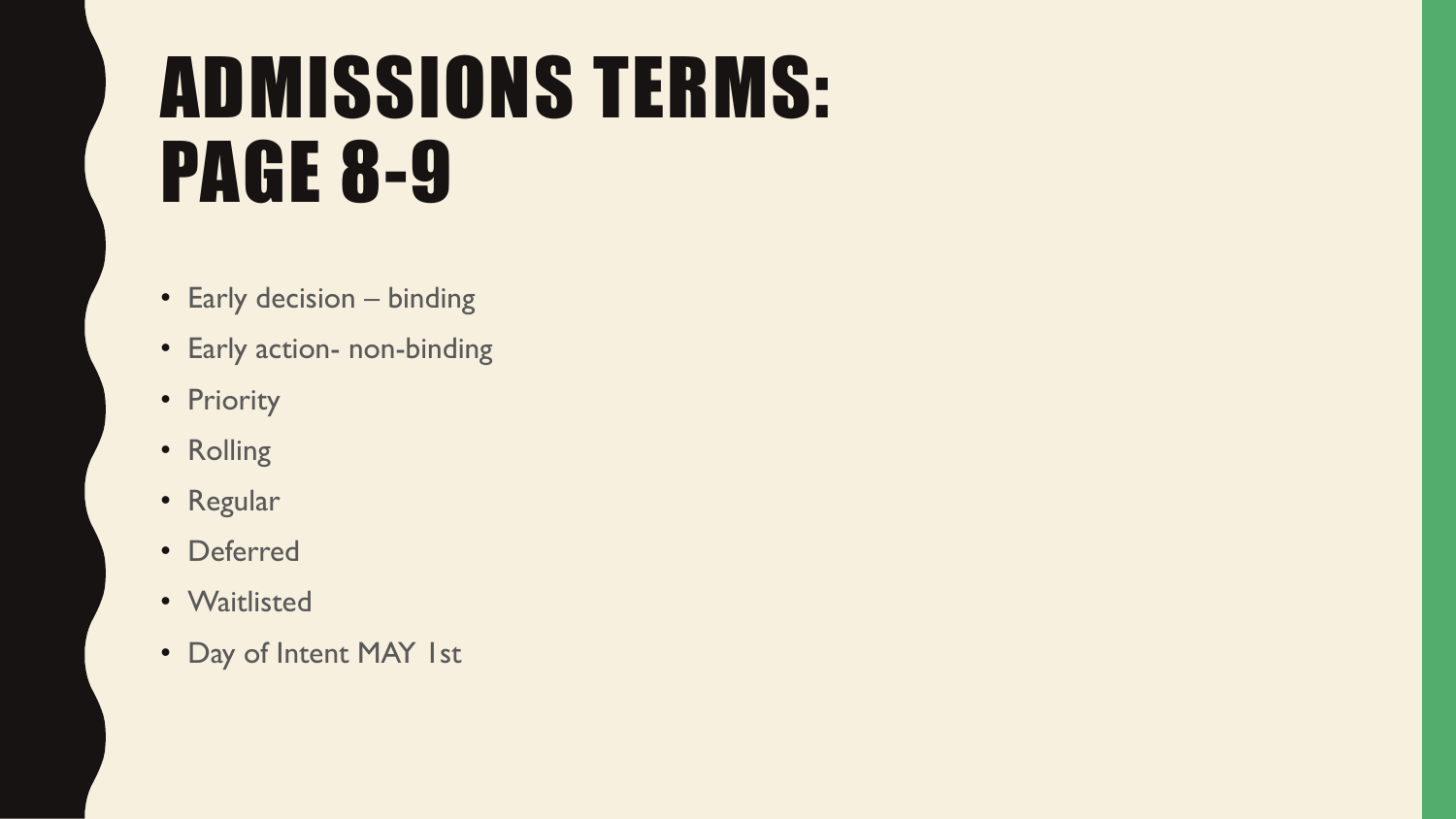## ADMISSIONS TERMS: PAGE 8-9

- Early decision binding
- Early action- non-binding
- Priority
- Rolling
- Regular
- Deferred
- Waitlisted
- Day of Intent MAY 1st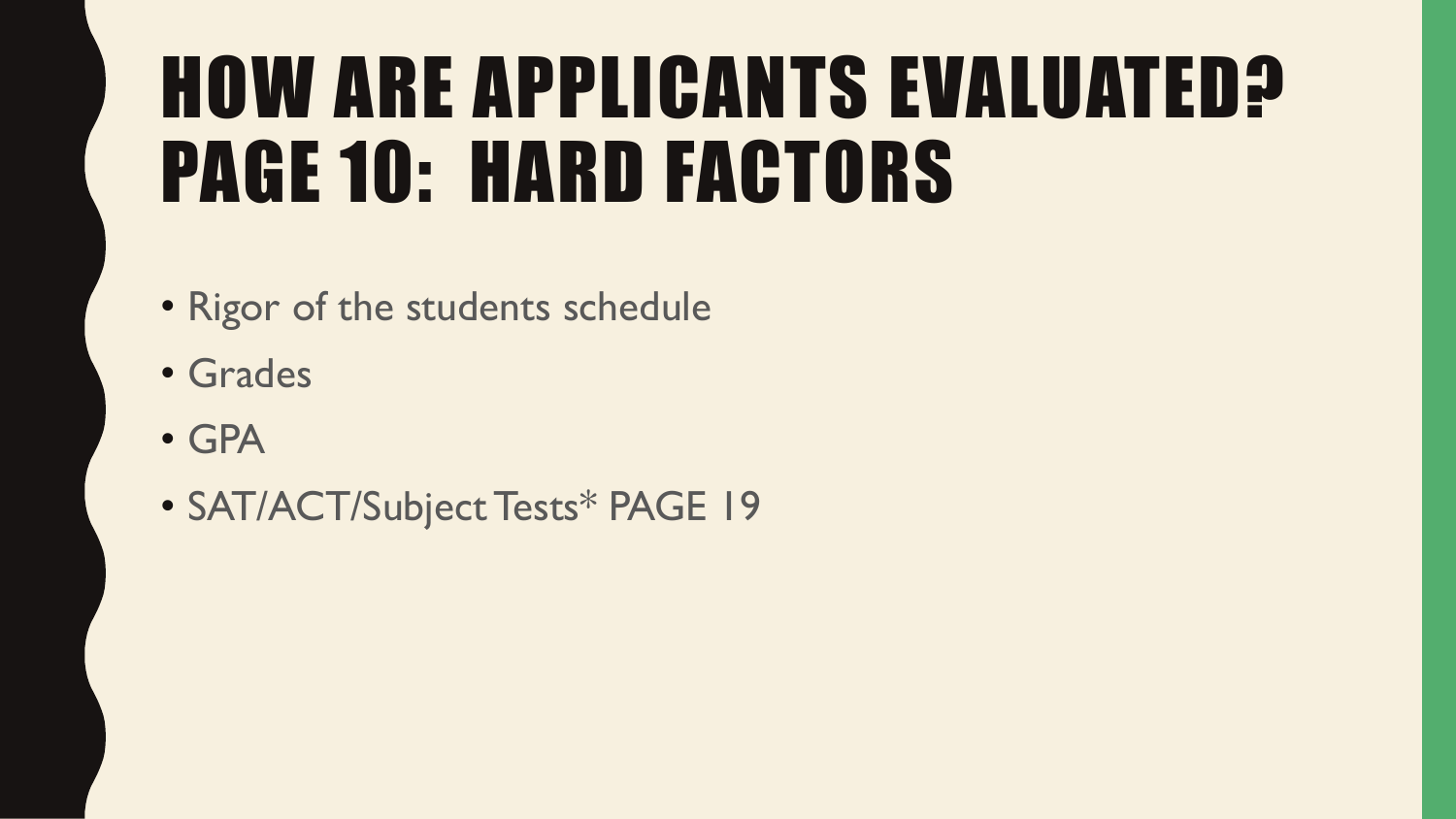# **HOW ARE APPLICANTS EVALUATED?** PAGE 10: HARD FACTORS

- Rigor of the students schedule
- Grades
- GPA
- SAT/ACT/Subject Tests\* PAGE 19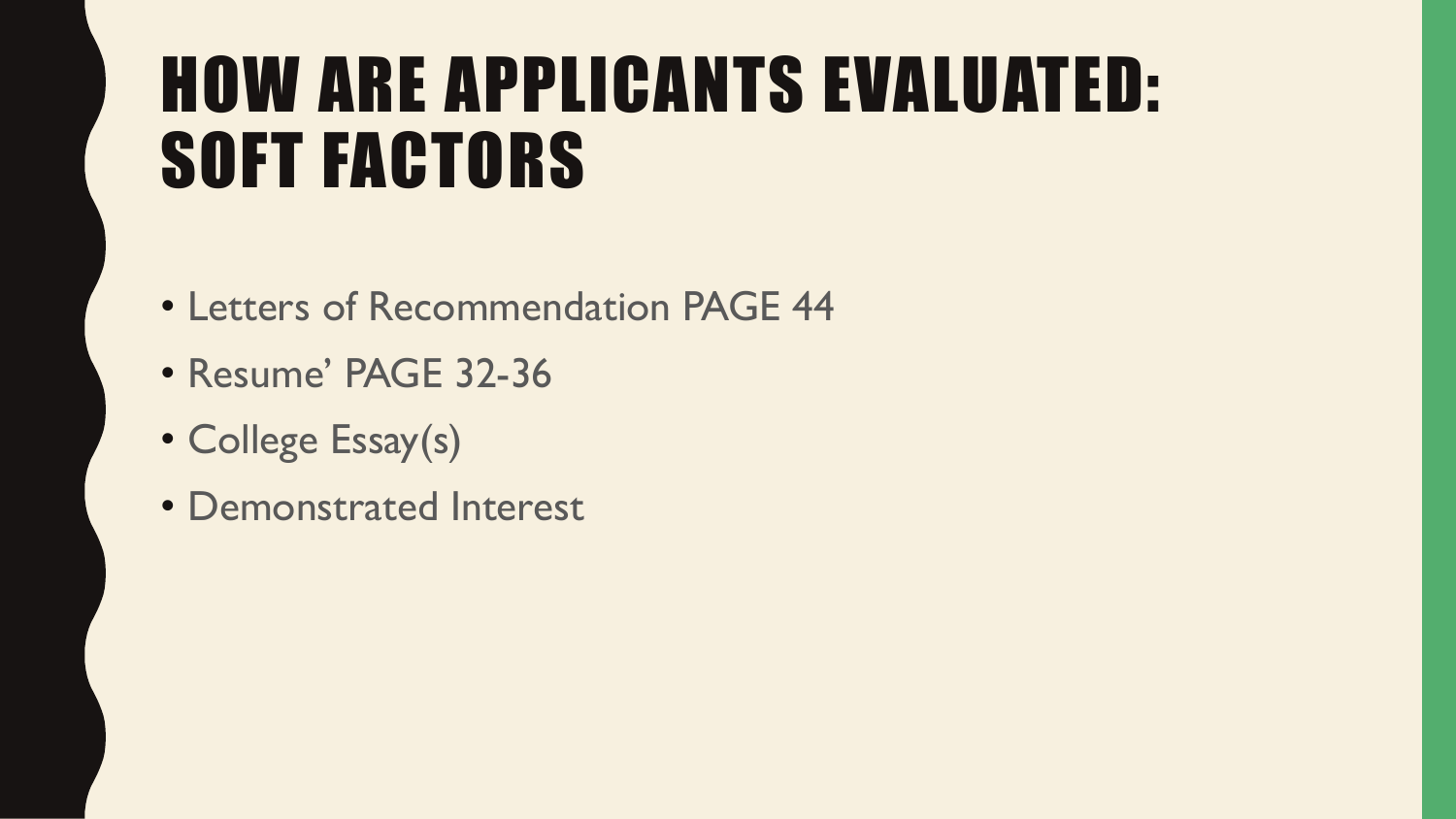#### HOW ARE APPLICANTS EVALUATED: SOFT FACTORS

- Letters of Recommendation PAGE 44
- Resume' PAGE 32-36
- College Essay(s)
- Demonstrated Interest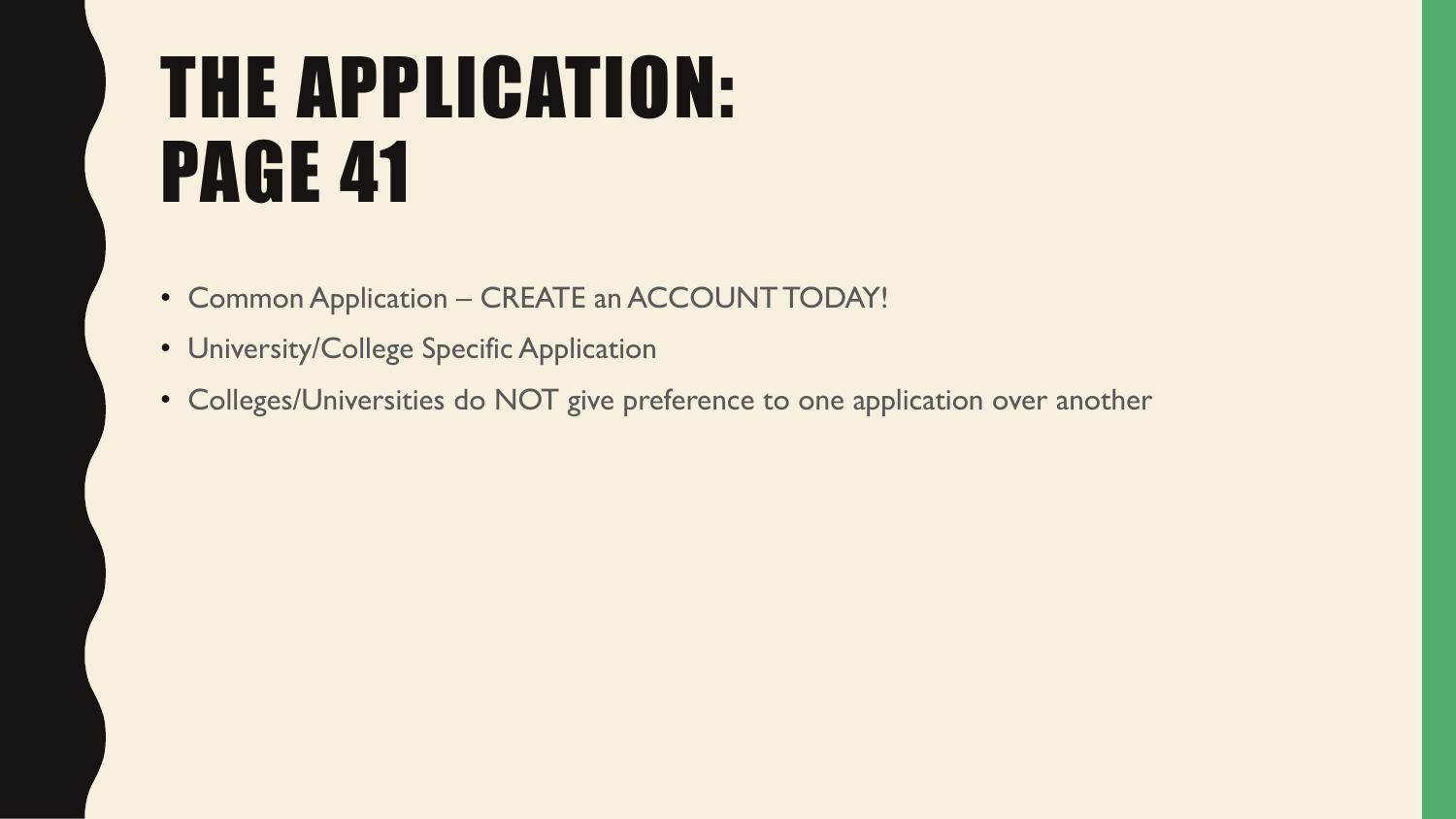# THE APPLICATION: PAGE 41

- Common Application CREATE an ACCOUNT TODAY!
- University/College Specific Application
- Colleges/Universities do NOT give preference to one application over another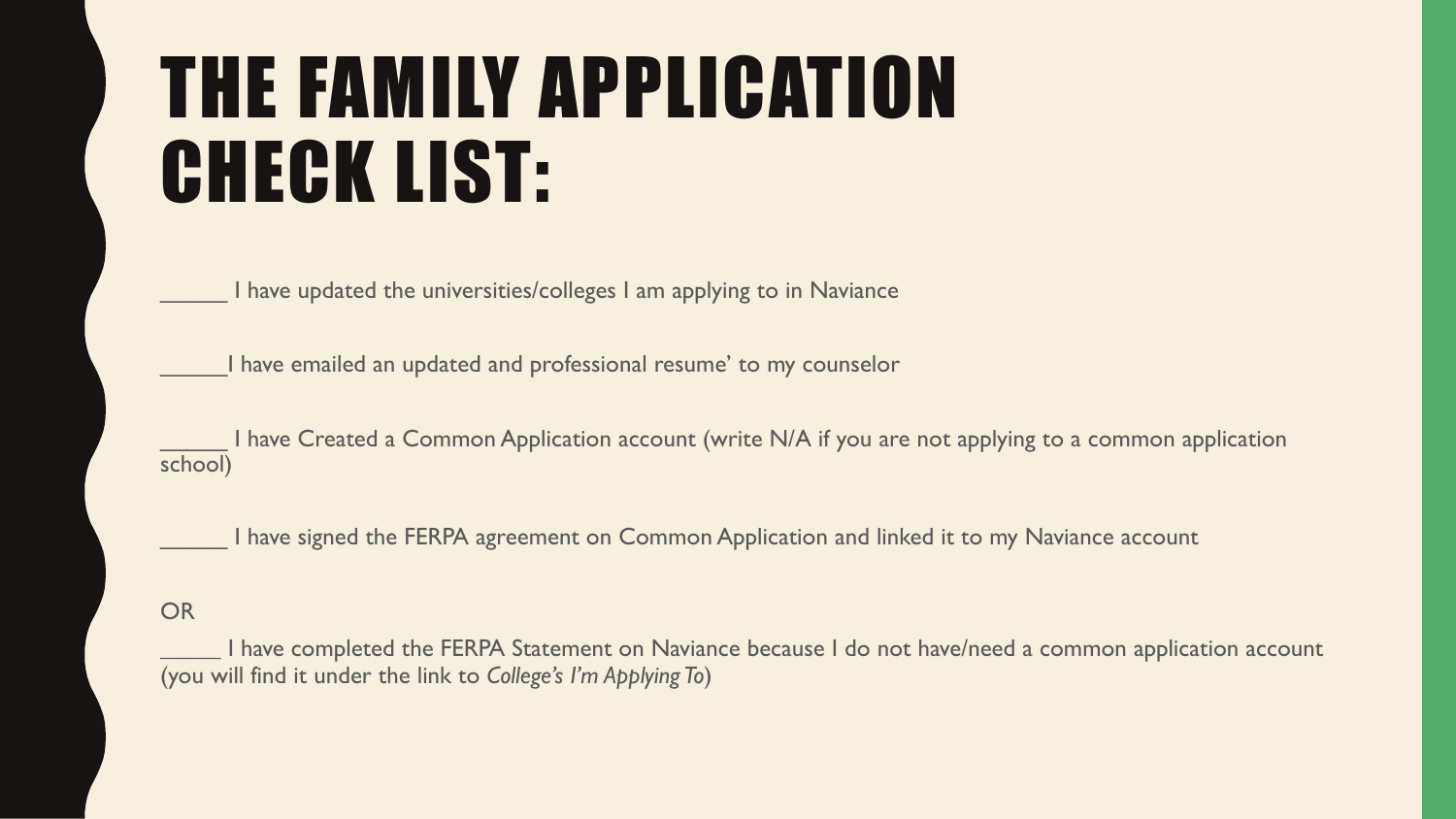### THE FAMILY APPLICATION CHECK LIST:

I have updated the universities/colleges I am applying to in Naviance

I have emailed an updated and professional resume' to my counselor

I have Created a Common Application account (write N/A if you are not applying to a common application school)

I have signed the FERPA agreement on Common Application and linked it to my Naviance account

#### **OR**

I have completed the FERPA Statement on Naviance because I do not have/need a common application account (you will find it under the link to *College's I'm Applying To*)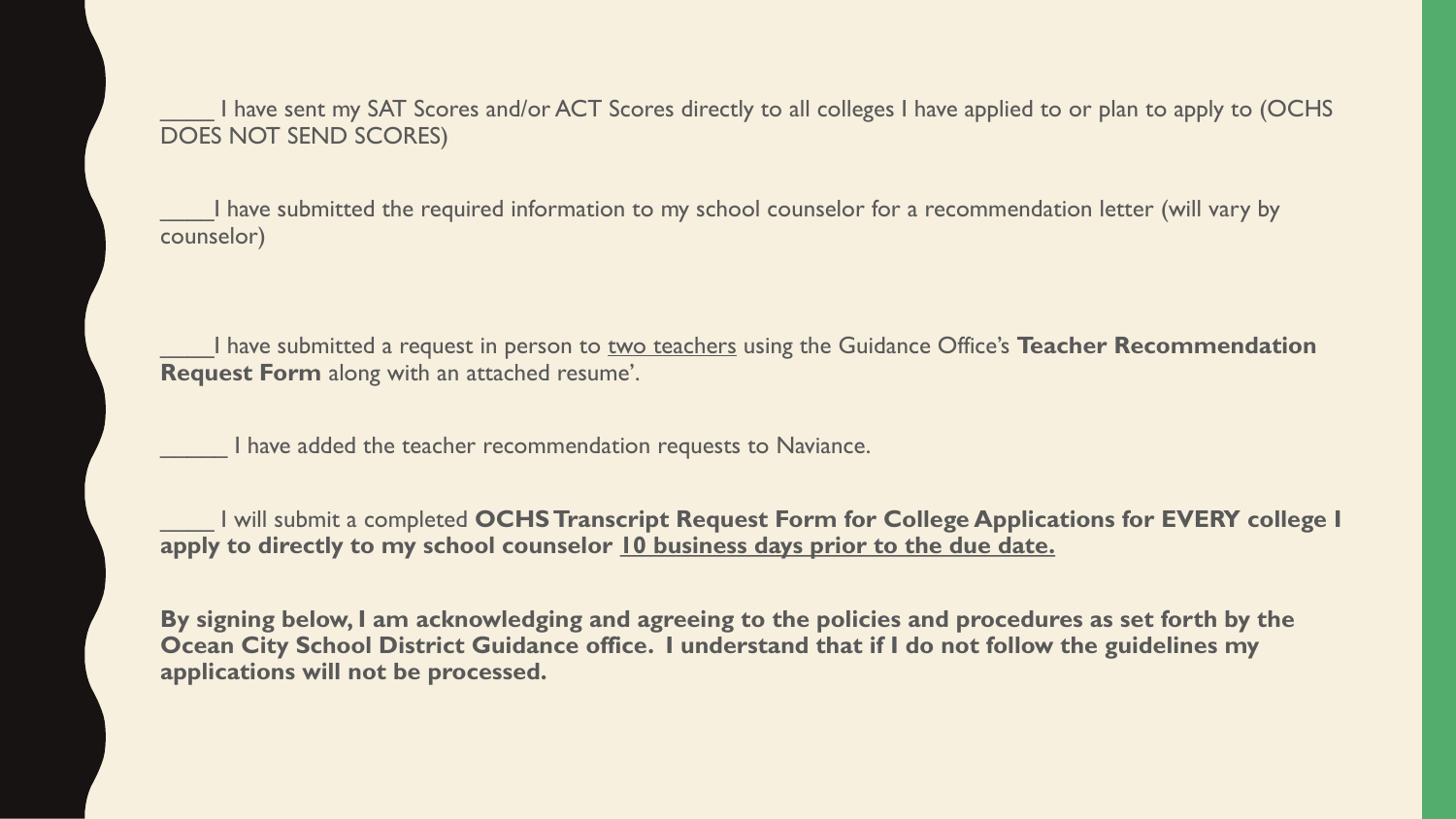I have sent my SAT Scores and/or ACT Scores directly to all colleges I have applied to or plan to apply to (OCHS DOES NOT SEND SCORES)

I have submitted the required information to my school counselor for a recommendation letter (will vary by counselor)

\_\_\_\_I have submitted a request in person to two teachers using the Guidance Office's **Teacher Recommendation Request Form** along with an attached resume'.

I have added the teacher recommendation requests to Naviance.

\_\_\_\_ I will submit a completed **OCHS Transcript Request Form for College Applications for EVERY college I apply to directly to my school counselor 10 business days prior to the due date.**

**By signing below, I am acknowledging and agreeing to the policies and procedures as set forth by the Ocean City School District Guidance office. I understand that if I do not follow the guidelines my applications will not be processed.**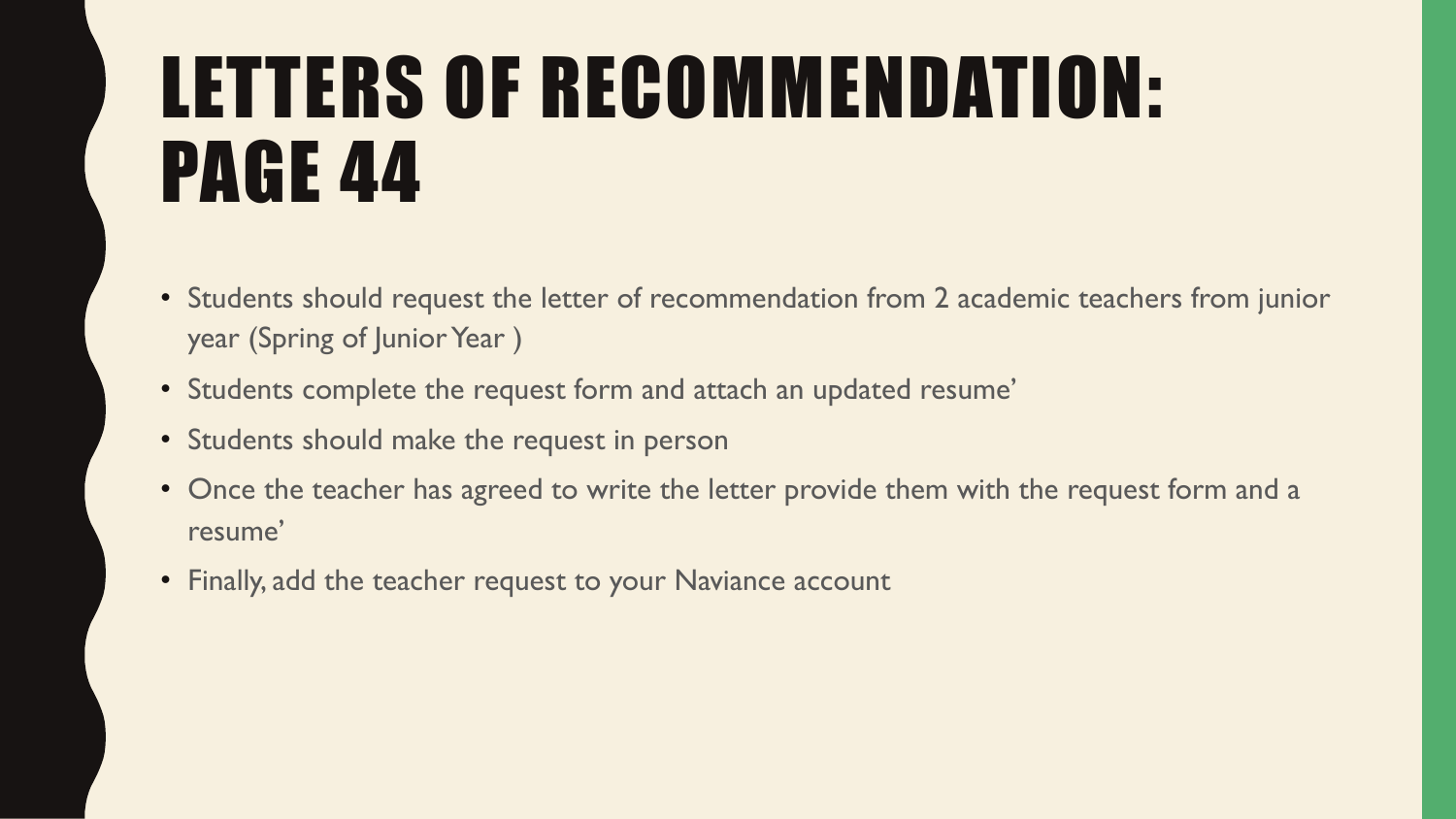# LETTERS OF RECOMMENDATION: PAGE 44

- Students should request the letter of recommendation from 2 academic teachers from junior year (Spring of Junior Year )
- Students complete the request form and attach an updated resume'
- Students should make the request in person
- Once the teacher has agreed to write the letter provide them with the request form and a resume'
- Finally, add the teacher request to your Naviance account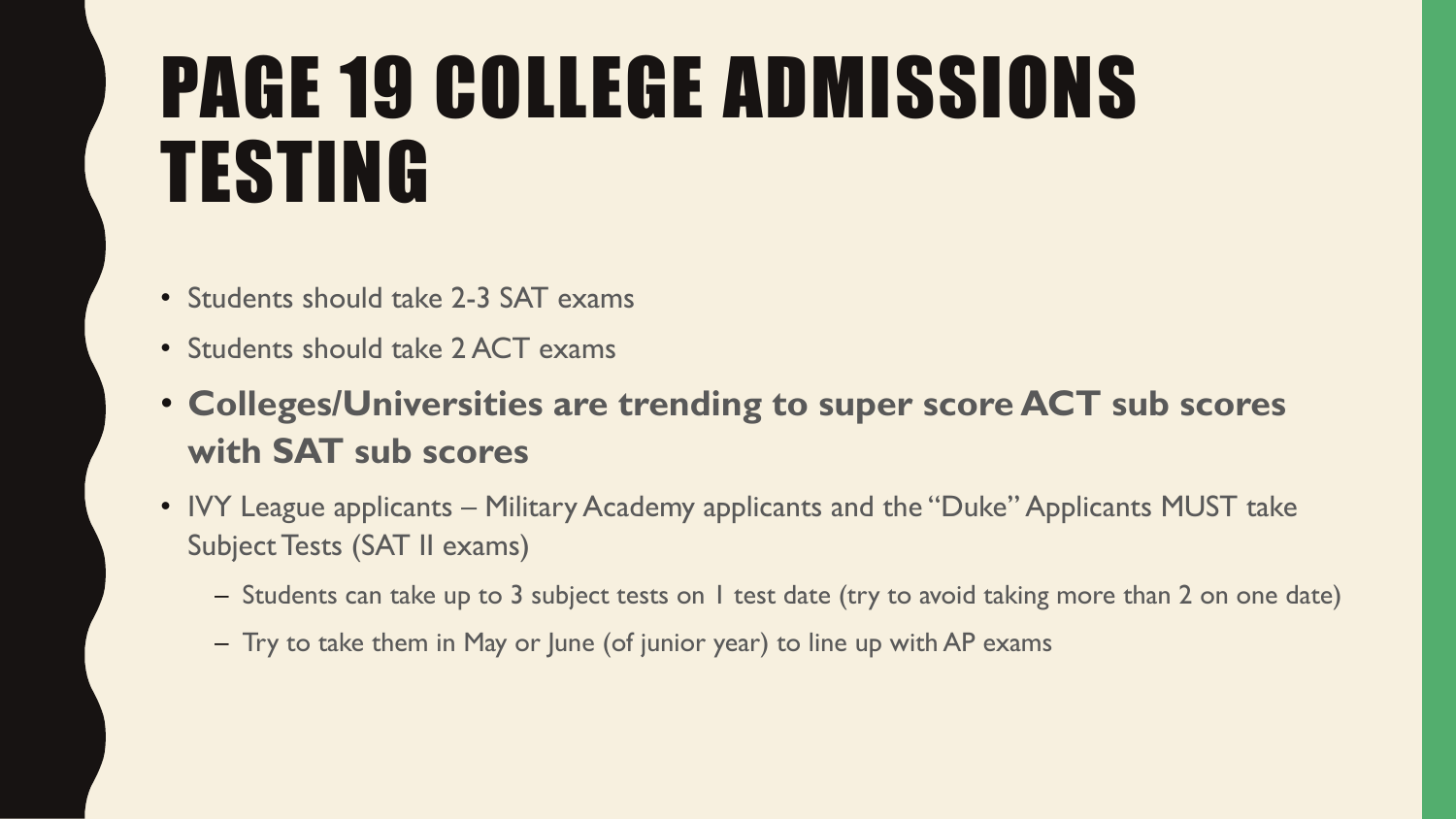# PAGE 19 COLLEGE ADMISSIONS TESTING

- Students should take 2-3 SAT exams
- Students should take 2 ACT exams
- **Colleges/Universities are trending to super score ACT sub scores with SAT sub scores**
- IVY League applicants Military Academy applicants and the "Duke" Applicants MUST take Subject Tests (SAT II exams)
	- Students can take up to 3 subject tests on 1 test date (try to avoid taking more than 2 on one date)
	- Try to take them in May or June (of junior year) to line up with AP exams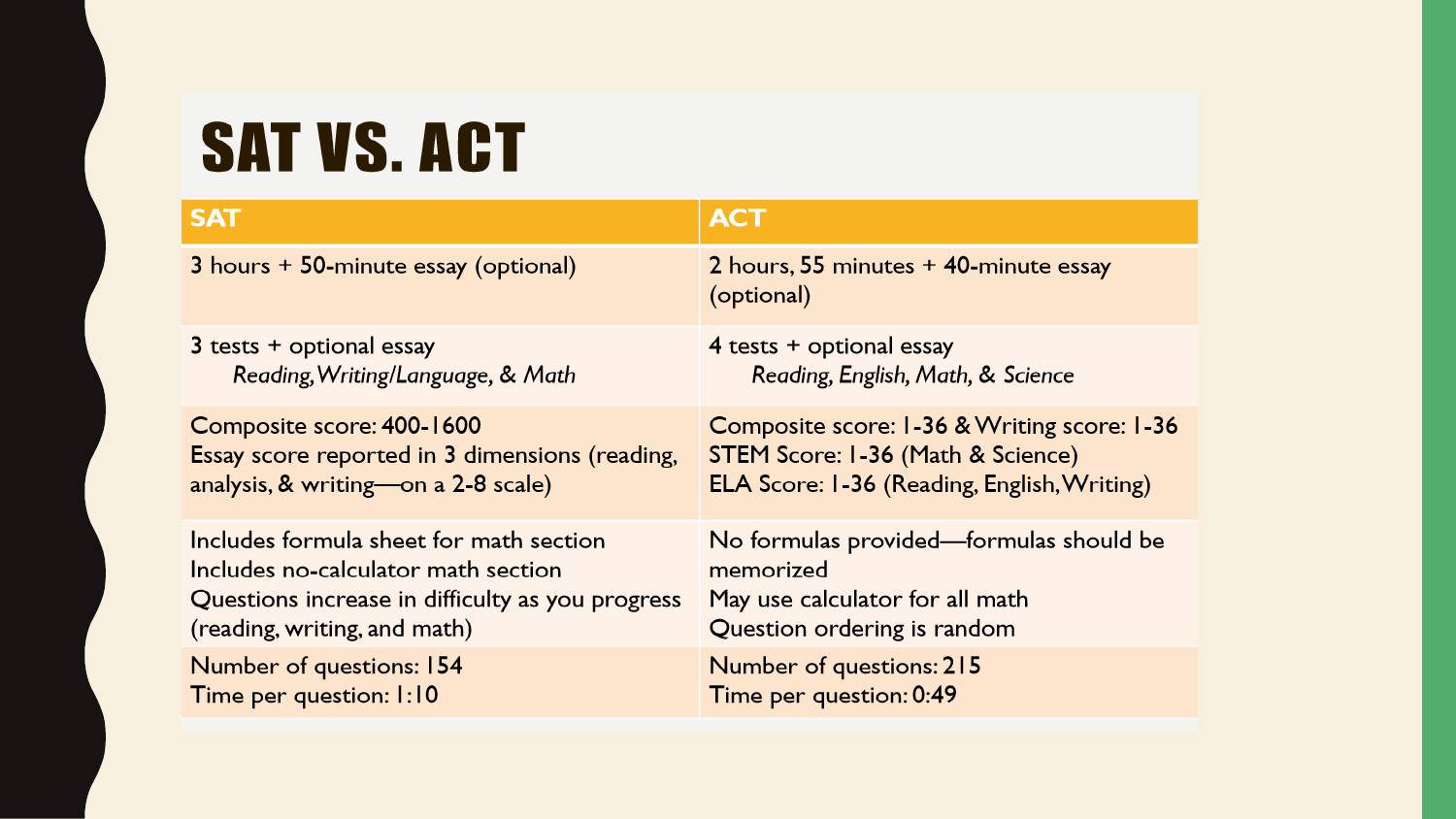#### **SAT VS. ACT**

| <b>SAT</b>                                       | <b>ACT</b>                                          |
|--------------------------------------------------|-----------------------------------------------------|
| 3 hours + 50-minute essay (optional)             | 2 hours, 55 minutes + 40-minute essay<br>(optional) |
| 3 tests + optional essay                         | 4 tests + optional essay                            |
| Reading, Writing/Language, & Math                | Reading, English, Math, & Science                   |
| Composite score: 400-1600                        | Composite score: 1-36 & Writing score: 1-36         |
| Essay score reported in 3 dimensions (reading,   | STEM Score: 1-36 (Math & Science)                   |
| analysis, & writing—on a 2-8 scale)              | ELA Score: 1-36 (Reading, English, Writing)         |
| Includes formula sheet for math section          | No formulas provided—formulas should be             |
| Includes no-calculator math section              | memorized                                           |
| Questions increase in difficulty as you progress | May use calculator for all math                     |
| (reading, writing, and math)                     | Question ordering is random                         |
| Number of questions: 154                         | Number of questions: 215                            |
| Time per question: 1:10                          | Time per question: 0:49                             |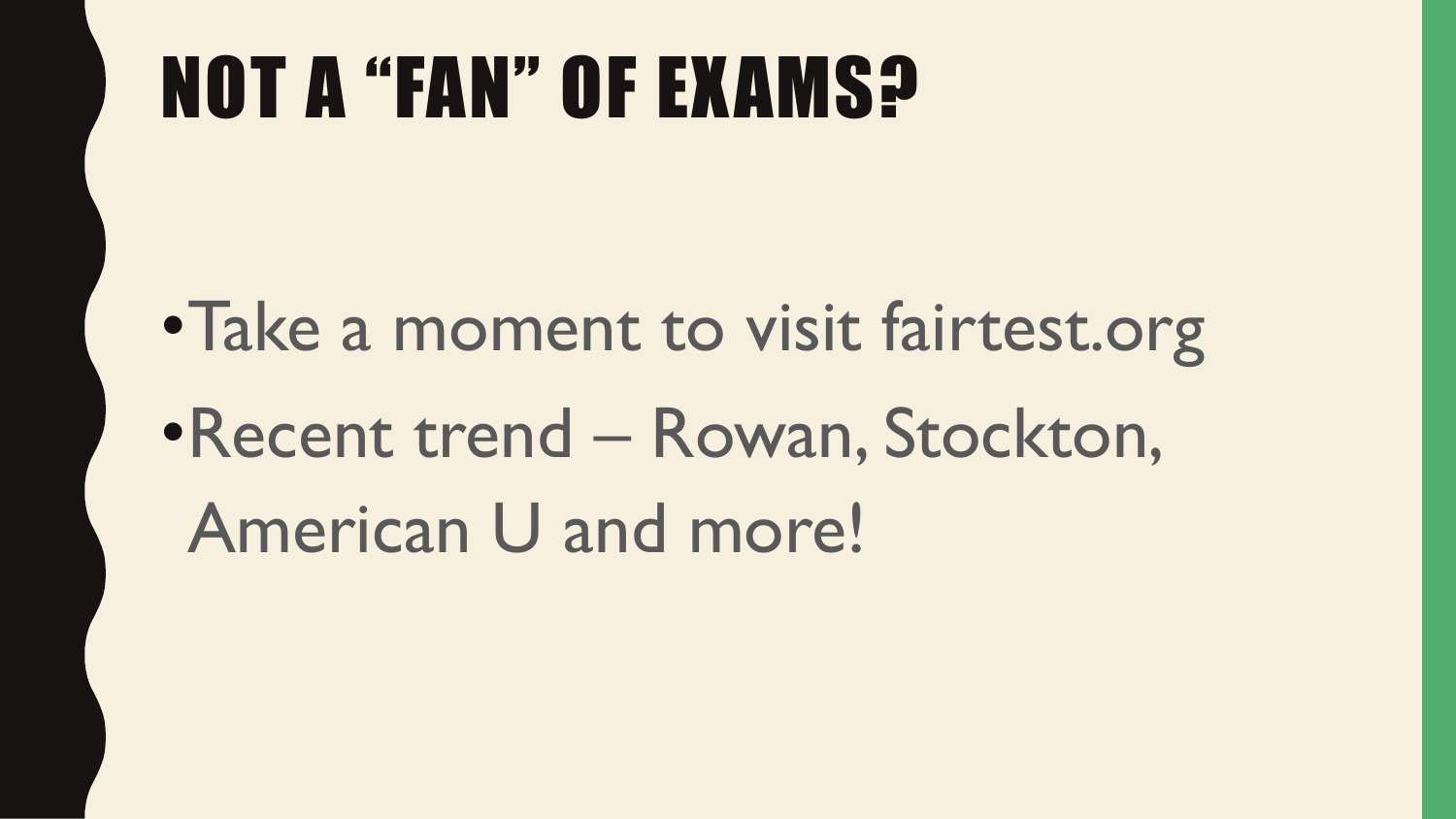# NOT A "FAN" OF EXAMS?

•Take a moment to visit fairtest.org •Recent trend – Rowan, Stockton, American U and more!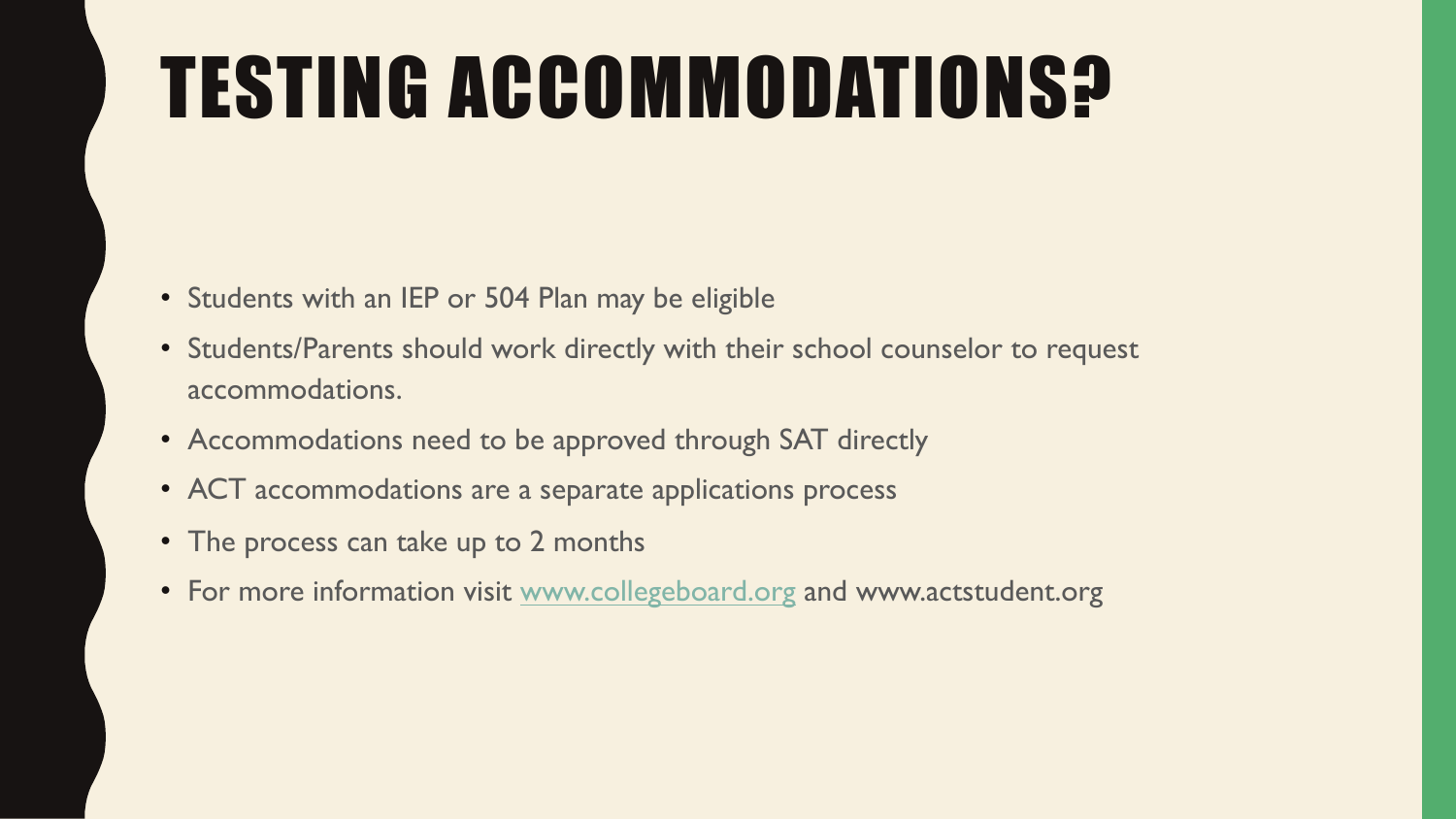# **TESTING ACCOMMODATI**

- Students with an IEP or 504 Plan may be eligible
- Students/Parents should work directly with their school cou accommodations.
- Accommodations need to be approved through SAT directly
- ACT accommodations are a separate applications process
- The process can take up to 2 months
- For more information visit www.collegeboard.org and www.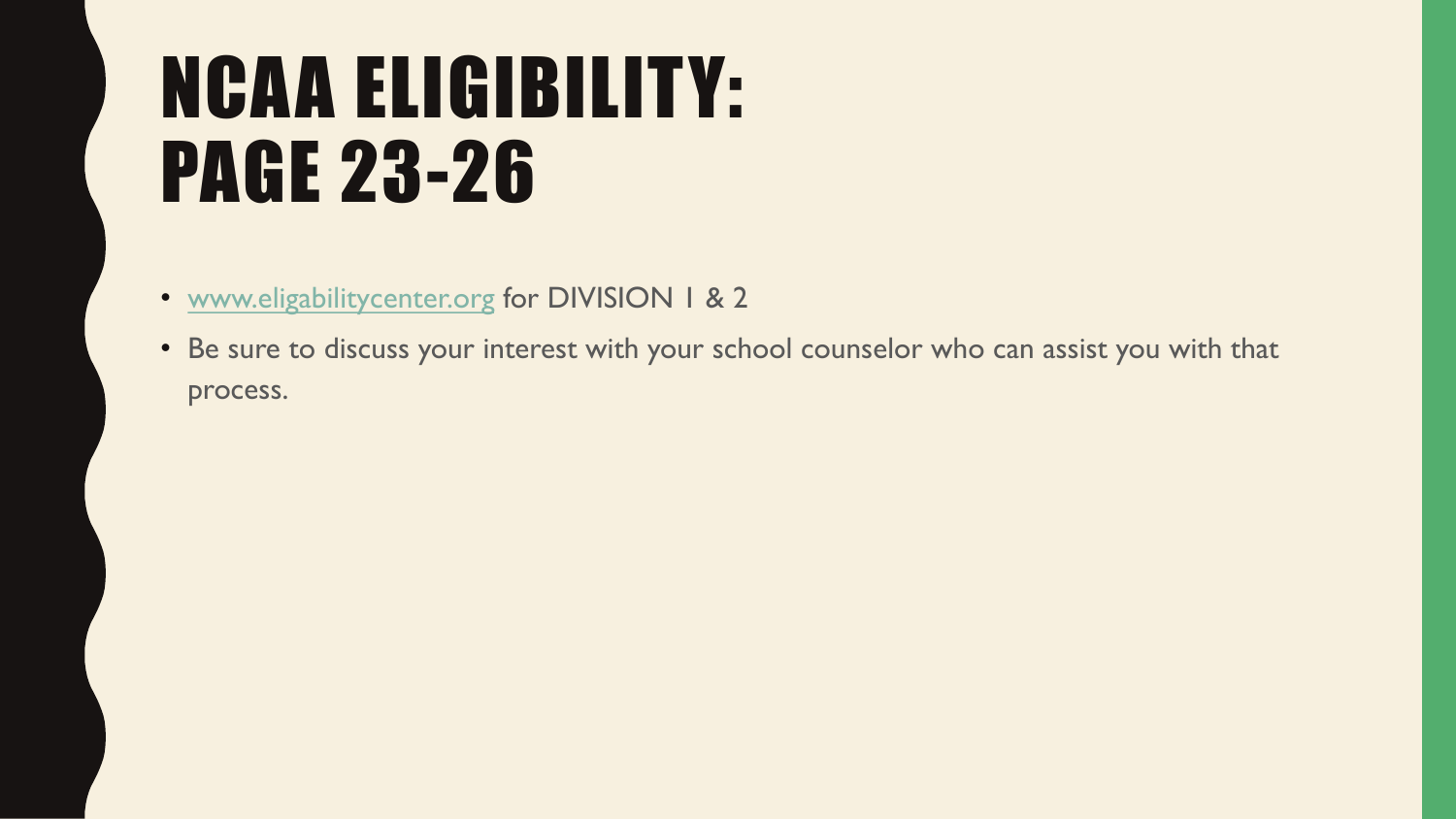# NCAA ELIGIBILITY: PAGE 23-26

- www.eligabilitycenter.org for DIVISION 1 & 2
- Be sure to discuss your interest with your school counselor process.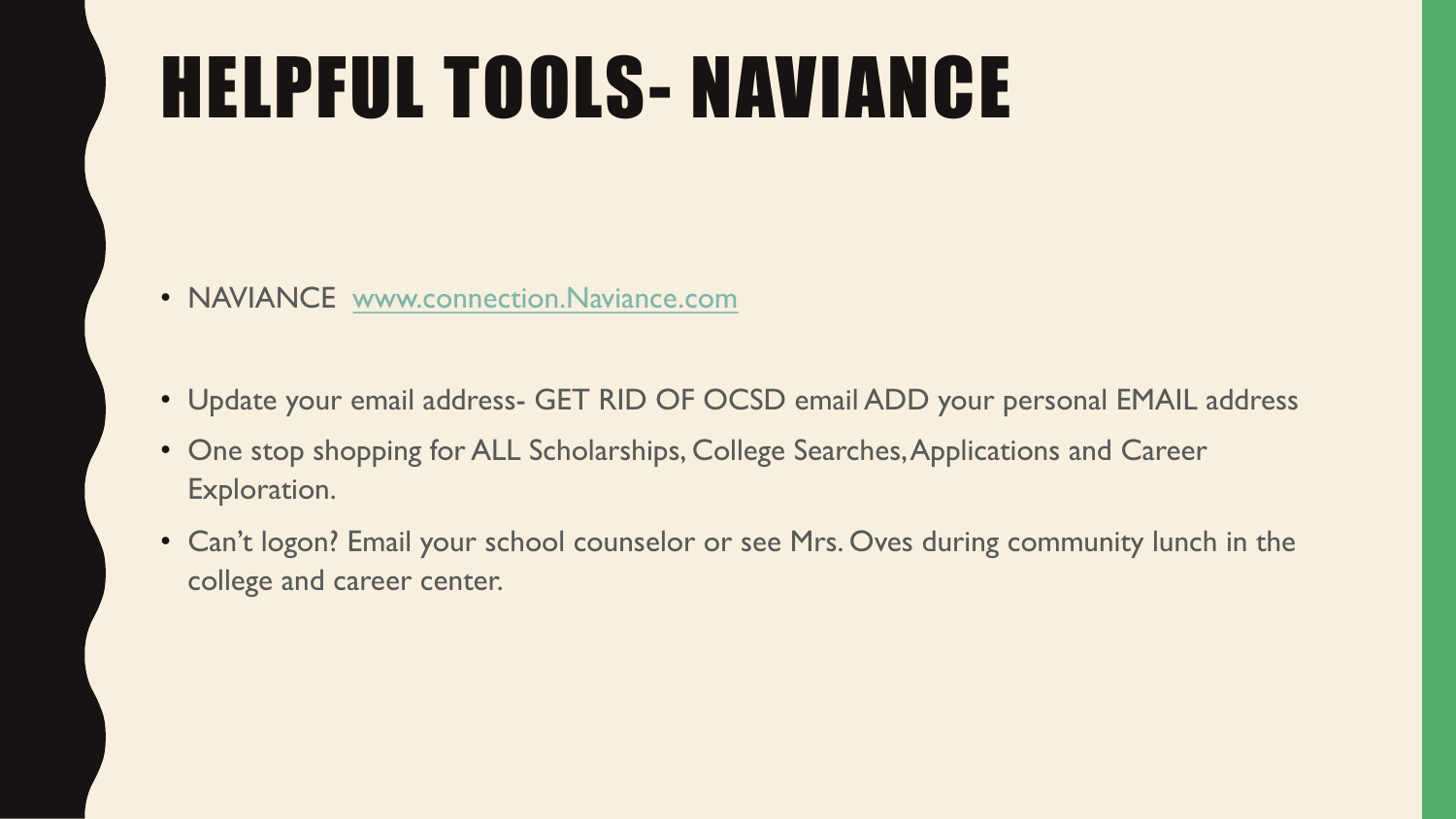# **HELPFUL TOOLS- NAVIAN**

- NAVIANCE www.connection.Naviance.com
- Update your email address- GET RID OF OCSD email ADD
- One stop shopping for ALL Scholarships, College Searches, A Exploration.
- Can't logon? Email your school counselor or see Mrs. Oves during college and career center.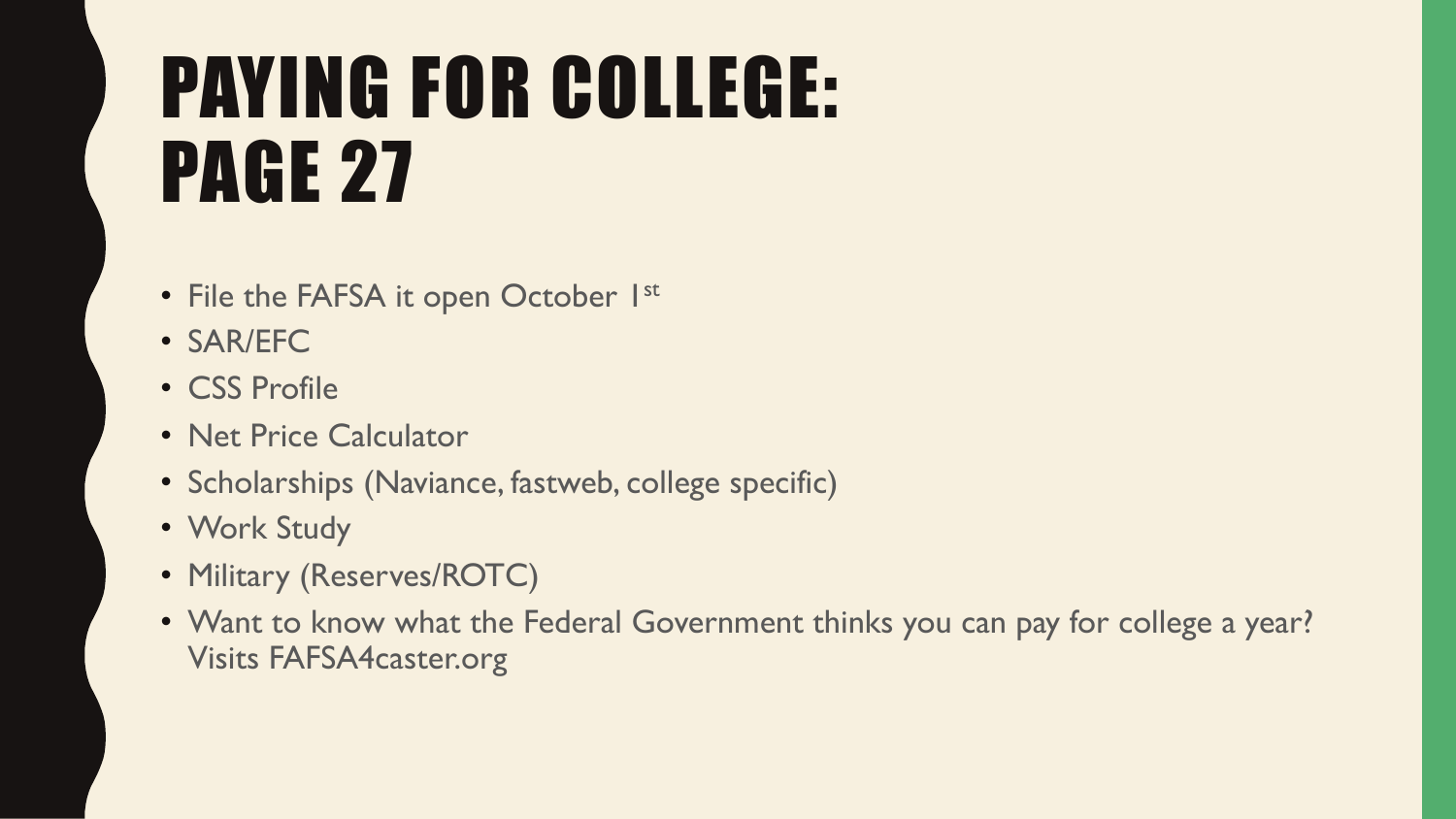# PAYING FOR COLLEGE: PAGE 27

- File the FAFSA it open October 1st
- SAR/EFC
- CSS Profile
- Net Price Calculator
- Scholarships (Naviance, fastweb, college specific)
- Work Study
- Military (Reserves/ROTC)
- Want to know what the Federal Government thinks you can pay for college a year? Visits FAFSA4caster.org